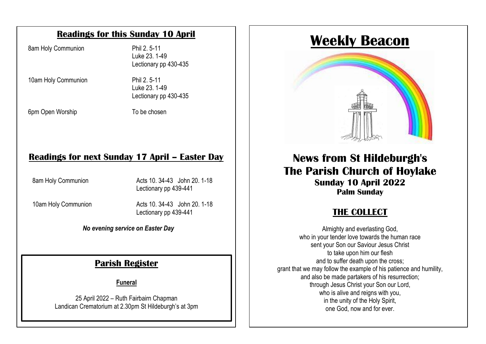#### **Readings for this Sunday 10 April**

8am Holy Communion Phil 2.5-11

Luke 23. 1-49 Lectionary pp 430-435

10am Holy Communion Phil 2.5-11 Luke 23. 1-49 Lectionary pp 430-435

 $\overline{\phantom{a}}$ 6pm Open Worship To be chosen

pen Worship **Supplem State State State State State** To be chosen

#### $\mathbf{S}$  communication in church. This will be a series of  $\mathbf{S}$ **Readings for next Sunday 17 April – Easter Day**

The service is also available to view on our website to view on  $\sim$  1.441 8am Holy Communion **Acts 10. 34-43** John 20, 1-18

Lectionary pp 439-441 10am Holy Communion **Acts 10. 34-43** John 20. 1-18

#### *No evening service on Easter Day*

#### **Parish Register**

**Funeral**

25 April 2022 – Ruth Fairbairn Chapman Landican Crematorium at 2.30pm St Hildeburgh's at 3pm

# **Weekly Beacon**



### **News from St Hildeburgh's The Parish Church of Hoylake Sunday 10 April 2022 Palm Sunday**

# **THE COLLECT**

Almighty and everlasting God, who in your tender love towards the human race sent your Son our Saviour Jesus Christ to take upon him our flesh and to suffer death upon the cross; grant that we may follow the example of his patience and humility, and also be made partakers of his resurrection; through Jesus Christ your Son our Lord, who is alive and reigns with you, in the unity of the Holy Spirit, one God, now and for ever.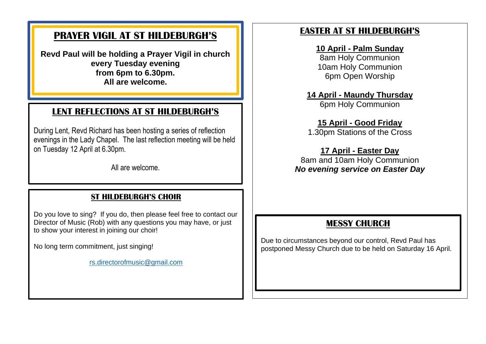### **PRAYER VIGIL AT ST HILDEBURGH'S**

**Revd Paul will be holding a Prayer Vigil in church every Tuesday evening from 6pm to 6.30pm. All are welcome.**

### **LENT REFLECTIONS AT ST HILDEBURGH'S**

During Lent, Revd Richard has been hosting a series of reflection evenings in the Lady Chapel. The last reflection meeting will be held on Tuesday 12 April at 6.30pm.

All are welcome.

#### **ST HILDEBURGH'S CHOIR**

Do you love to sing? If you do, then please feel free to contact our Director of Music (Rob) with any questions you may have, or just to show your interest in joining our choir!

No long term commitment, just singing!

[rs.directorofmusic@gmail.com](mailto:rs.directorofmusic@gmail.com)

### **EASTER AT ST HILDEBURGH'S**

#### **10 April - Palm Sunday**

8am Holy Communion 10am Holy Communion 6pm Open Worship

**14 April - Maundy Thursday** 6pm Holy Communion

## **15 April - Good Friday**

1.30pm Stations of the Cross

#### **17 April - Easter Day**

8am and 10am Holy Communion *No evening service on Easter Day*

### **MESSY CHURCH**

Due to circumstances beyond our control, Revd Paul has postponed Messy Church due to be held on Saturday 16 April.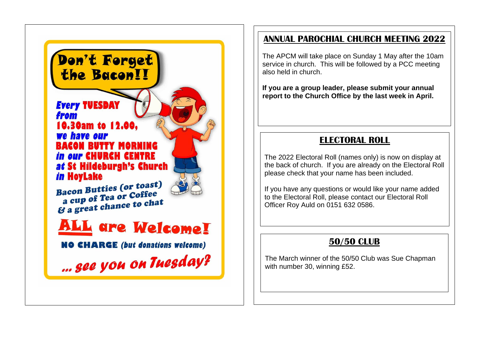

### **ANNUAL PAROCHIAL CHURCH MEETING 2022**

The APCM will take place on Sunday 1 May after the 10am service in church. This will be followed by a PCC meeting also held in church.

**If you are a group leader, please submit your annual report to the Church Office by the last week in April.** 

### **ELECTORAL ROLL**

The 2022 Electoral Roll (names only) is now on display at the back of church. If you are already on the Electoral Roll please check that your name has been included.

If you have any questions or would like your name added to the Electoral Roll, please contact our Electoral Roll Officer Roy Auld on 0151 632 0586.

### **50/50 CLUB**

The March winner of the 50/50 Club was Sue Chapman with number 30, winning £52.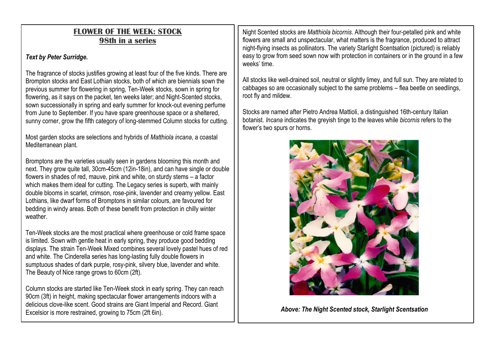#### **FLOWER OF THE WEEK: STOCK 98th in a series**

#### *Text by Peter Surridge.*

The fragrance of stocks justifies growing at least four of the five kinds. There are Brompton stocks and East Lothian stocks, both of which are biennials sown the previous summer for flowering in spring, Ten-Week stocks, sown in spring for flowering, as it says on the packet, ten weeks later; and Night-Scented stocks, sown successionally in spring and early summer for knock-out evening perfume from June to September. If you have spare greenhouse space or a sheltered, sunny corner, grow the fifth category of long-stemmed Column stocks for cutting.

Most garden stocks are selections and hybrids of *Matthiola incana*, a coastal Mediterranean plant.

Bromptons are the varieties usually seen in gardens blooming this month and next. They grow quite tall, 30cm-45cm (12in-18in), and can have single or double flowers in shades of red, mauve, pink and white, on sturdy stems – a factor which makes them ideal for cutting. The Legacy series is superb, with mainly double blooms in scarlet, crimson, rose-pink, lavender and creamy yellow. East Lothians, like dwarf forms of Bromptons in similar colours, are favoured for bedding in windy areas. Both of these benefit from protection in chilly winter weather

Ten-Week stocks are the most practical where greenhouse or cold frame space is limited. Sown with gentle heat in early spring, they produce good bedding displays. The strain Ten-Week Mixed combines several lovely pastel hues of red and white. The Cinderella series has long-lasting fully double flowers in sumptuous shades of dark purple, rosy-pink, silvery blue, lavender and white. The Beauty of Nice range grows to 60cm (2ft).

Column stocks are started like Ten-Week stock in early spring. They can reach 90cm (3ft) in height, making spectacular flower arrangements indoors with a delicious clove-like scent. Good strains are Giant Imperial and Record. Giant Excelsior is more restrained, growing to 75cm (2ft 6in).

Night Scented stocks are *Matthiola bicornis*. Although their four-petalled pink and white flowers are small and unspectacular, what matters is the fragrance, produced to attract night-flying insects as pollinators. The variety Starlight Scentsation (pictured) is reliably easy to grow from seed sown now with protection in containers or in the ground in a few weeks' time.

All stocks like well-drained soil, neutral or slightly limey, and full sun. They are related to cabbages so are occasionally subject to the same problems – flea beetle on seedlings, root fly and mildew.

Stocks are named after Pietro Andrea Mattioli, a distinguished 16th-century Italian botanist. *Incana* indicates the greyish tinge to the leaves while *bicornis* refers to the flower's two spurs or horns.



*Above: The Night Scented stock, Starlight Scentsation*